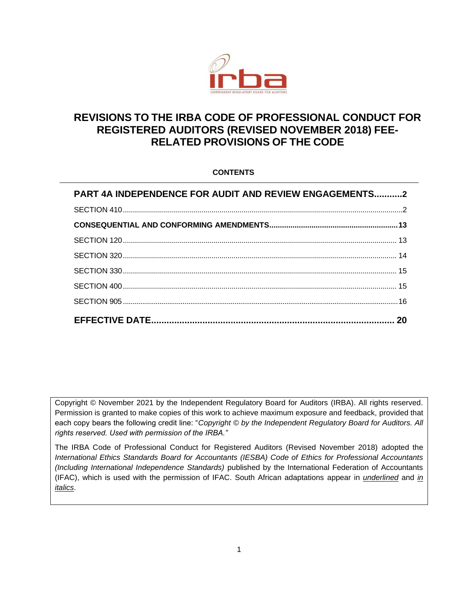

# **REVISIONS TO THE IRBA CODE OF PROFESSIONAL CONDUCT FOR REGISTERED AUDITORS (REVISED NOVEMBER 2018) FEE-RELATED PROVISIONS OF THE CODE**

### **CONTENTS**

| PART 4A INDEPENDENCE FOR AUDIT AND REVIEW ENGAGEMENTS2 |  |
|--------------------------------------------------------|--|
|                                                        |  |
|                                                        |  |
|                                                        |  |
|                                                        |  |
|                                                        |  |
|                                                        |  |
|                                                        |  |
|                                                        |  |

Copyright © November 2021 by the Independent Regulatory Board for Auditors (IRBA). All rights reserved. Permission is granted to make copies of this work to achieve maximum exposure and feedback, provided that each copy bears the following credit line: "*Copyright © by the Independent Regulatory Board for Auditors. All rights reserved. Used with permission of the IRBA."* 

The IRBA Code of Professional Conduct for Registered Auditors (Revised November 2018) adopted the *International Ethics Standards Board for Accountants (IESBA) Code of Ethics for Professional Accountants (Including International Independence Standards)* published by the International Federation of Accountants (IFAC), which is used with the permission of IFAC. South African adaptations appear in *underlined* and *in italics*.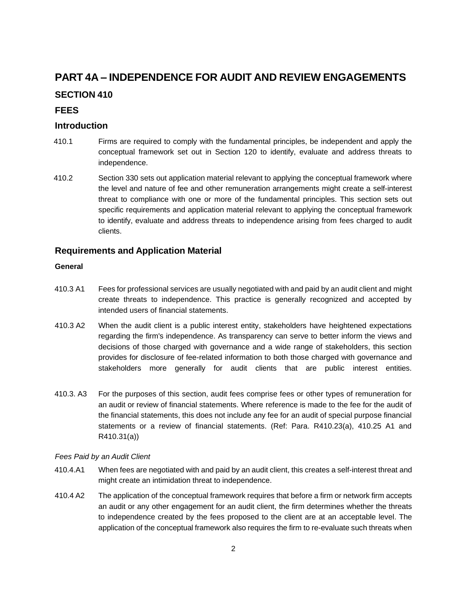# <span id="page-1-0"></span>**PART 4A – INDEPENDENCE FOR AUDIT AND REVIEW ENGAGEMENTS**

## **SECTION 410**

### **FEES**

## **Introduction**

- 410.1 Firms are required to comply with the fundamental principles, be independent and apply the conceptual framework set out in Section 120 to identify, evaluate and address threats to independence.
- 410.2 Section 330 sets out application material relevant to applying the conceptual framework where the level and nature of fee and other remuneration arrangements might create a self-interest threat to compliance with one or more of the fundamental principles. This section sets out specific requirements and application material relevant to applying the conceptual framework to identify, evaluate and address threats to independence arising from fees charged to audit clients.

## **Requirements and Application Material**

### **General**

- 410.3 A1 Fees for professional services are usually negotiated with and paid by an audit client and might create threats to independence. This practice is generally recognized and accepted by intended users of financial statements.
- 410.3 A2 When the audit client is a public interest entity, stakeholders have heightened expectations regarding the firm's independence. As transparency can serve to better inform the views and decisions of those charged with governance and a wide range of stakeholders, this section provides for disclosure of fee-related information to both those charged with governance and stakeholders more generally for audit clients that are public interest entities.
- 410.3. A3 For the purposes of this section, audit fees comprise fees or other types of remuneration for an audit or review of financial statements. Where reference is made to the fee for the audit of the financial statements, this does not include any fee for an audit of special purpose financial statements or a review of financial statements. (Ref: Para. R410.23(a), 410.25 A1 and R410.31(a))

### *Fees Paid by an Audit Client*

- 410.4.A1 When fees are negotiated with and paid by an audit client, this creates a self-interest threat and might create an intimidation threat to independence.
- 410.4 A2 The application of the conceptual framework requires that before a firm or network firm accepts an audit or any other engagement for an audit client, the firm determines whether the threats to independence created by the fees proposed to the client are at an acceptable level. The application of the conceptual framework also requires the firm to re-evaluate such threats when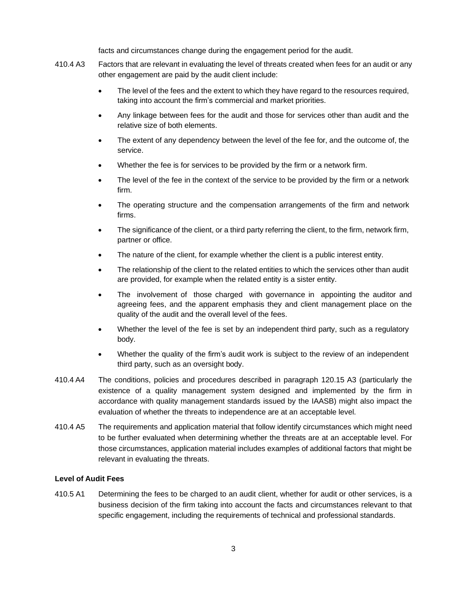facts and circumstances change during the engagement period for the audit.

- 410.4 A3 Factors that are relevant in evaluating the level of threats created when fees for an audit or any other engagement are paid by the audit client include:
	- The level of the fees and the extent to which they have regard to the resources required, taking into account the firm's commercial and market priorities.
	- Any linkage between fees for the audit and those for services other than audit and the relative size of both elements.
	- The extent of any dependency between the level of the fee for, and the outcome of, the service.
	- Whether the fee is for services to be provided by the firm or a network firm.
	- The level of the fee in the context of the service to be provided by the firm or a network firm.
	- The operating structure and the compensation arrangements of the firm and network firms.
	- The significance of the client, or a third party referring the client, to the firm, network firm, partner or office.
	- The nature of the client, for example whether the client is a public interest entity.
	- The relationship of the client to the related entities to which the services other than audit are provided, for example when the related entity is a sister entity.
	- The involvement of those charged with governance in appointing the auditor and agreeing fees, and the apparent emphasis they and client management place on the quality of the audit and the overall level of the fees.
	- Whether the level of the fee is set by an independent third party, such as a regulatory body.
	- Whether the quality of the firm's audit work is subject to the review of an independent third party, such as an oversight body.
- 410.4 A4 The conditions, policies and procedures described in paragraph 120.15 A3 (particularly the existence of a quality management system designed and implemented by the firm in accordance with quality management standards issued by the IAASB) might also impact the evaluation of whether the threats to independence are at an acceptable level.
- 410.4 A5 The requirements and application material that follow identify circumstances which might need to be further evaluated when determining whether the threats are at an acceptable level. For those circumstances, application material includes examples of additional factors that might be relevant in evaluating the threats.

#### **Level of Audit Fees**

410.5 A1 Determining the fees to be charged to an audit client, whether for audit or other services, is a business decision of the firm taking into account the facts and circumstances relevant to that specific engagement, including the requirements of technical and professional standards.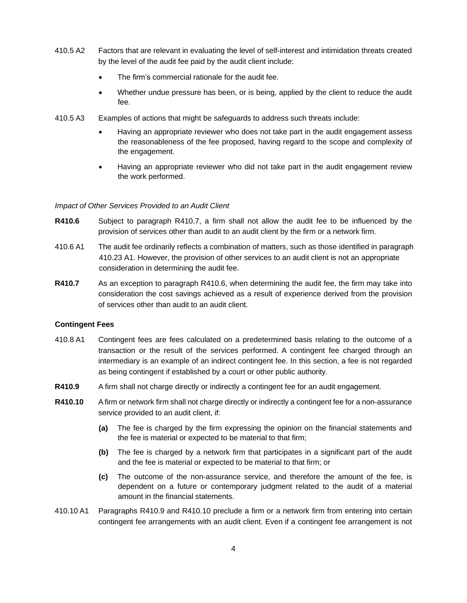- 410.5 A2 Factors that are relevant in evaluating the level of self-interest and intimidation threats created by the level of the audit fee paid by the audit client include:
	- The firm's commercial rationale for the audit fee.
	- Whether undue pressure has been, or is being, applied by the client to reduce the audit fee.
- 410.5 A3 Examples of actions that might be safeguards to address such threats include:
	- Having an appropriate reviewer who does not take part in the audit engagement assess the reasonableness of the fee proposed, having regard to the scope and complexity of the engagement.
	- Having an appropriate reviewer who did not take part in the audit engagement review the work performed.

#### *Impact of Other Services Provided to an Audit Client*

- **R410.6** Subject to paragraph R410.7, a firm shall not allow the audit fee to be influenced by the provision of services other than audit to an audit client by the firm or a network firm.
- 410.6 A1 The audit fee ordinarily reflects a combination of matters, such as those identified in paragraph 410.23 A1. However, the provision of other services to an audit client is not an appropriate consideration in determining the audit fee.
- **R410.7** As an exception to paragraph R410.6, when determining the audit fee, the firm may take into consideration the cost savings achieved as a result of experience derived from the provision of services other than audit to an audit client.

#### **Contingent Fees**

- 410.8 A1 Contingent fees are fees calculated on a predetermined basis relating to the outcome of a transaction or the result of the services performed. A contingent fee charged through an intermediary is an example of an indirect contingent fee. In this section, a fee is not regarded as being contingent if established by a court or other public authority.
- **R410.9** A firm shall not charge directly or indirectly a contingent fee for an audit engagement.
- **R410.10** Afirm or network firm shall not charge directly or indirectly a contingent fee for a non-assurance service provided to an audit client, if:
	- **(a)** The fee is charged by the firm expressing the opinion on the financial statements and the fee is material or expected to be material to that firm;
	- **(b)** The fee is charged by a network firm that participates in a significant part of the audit and the fee is material or expected to be material to that firm; or
	- **(c)** The outcome of the non-assurance service, and therefore the amount of the fee, is dependent on a future or contemporary judgment related to the audit of a material amount in the financial statements.
- 410.10 A1 Paragraphs R410.9 and R410.10 preclude a firm or a network firm from entering into certain contingent fee arrangements with an audit client. Even if a contingent fee arrangement is not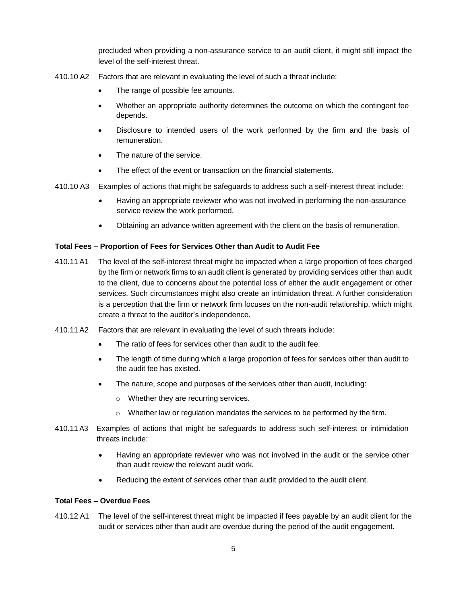precluded when providing a non-assurance service to an audit client, it might still impact the level of the self-interest threat.

- 410.10 A2 Factors that are relevant in evaluating the level of such a threat include:
	- The range of possible fee amounts.
	- Whether an appropriate authority determines the outcome on which the contingent fee depends.
	- Disclosure to intended users of the work performed by the firm and the basis of remuneration.
	- The nature of the service.
	- The effect of the event or transaction on the financial statements.
- 410.10 A3 Examples of actions that might be safeguards to address such a self-interest threat include:
	- Having an appropriate reviewer who was not involved in performing the non-assurance service review the work performed.
	- Obtaining an advance written agreement with the client on the basis of remuneration.

#### **Total Fees – Proportion of Fees for Services Other than Audit to Audit Fee**

- 410.11A1 The level of the self-interest threat might be impacted when a large proportion of fees charged by the firm or network firms to an audit client is generated by providing services other than audit to the client, due to concerns about the potential loss of either the audit engagement or other services. Such circumstances might also create an intimidation threat. A further consideration is a perception that the firm or network firm focuses on the non-audit relationship, which might create a threat to the auditor's independence.
- 410.11A2 Factors that are relevant in evaluating the level of such threats include:
	- The ratio of fees for services other than audit to the audit fee.
	- The length of time during which a large proportion of fees for services other than audit to the audit fee has existed.
	- The nature, scope and purposes of the services other than audit, including:
		- o Whether they are recurring services.
		- $\circ$  Whether law or regulation mandates the services to be performed by the firm.
- 410.11 A3 Examples of actions that might be safeguards to address such self-interest or intimidation threats include:
	- Having an appropriate reviewer who was not involved in the audit or the service other than audit review the relevant audit work.
	- Reducing the extent of services other than audit provided to the audit client.

#### **Total Fees – Overdue Fees**

410.12 A1 The level of the self-interest threat might be impacted if fees payable by an audit client for the audit or services other than audit are overdue during the period of the audit engagement.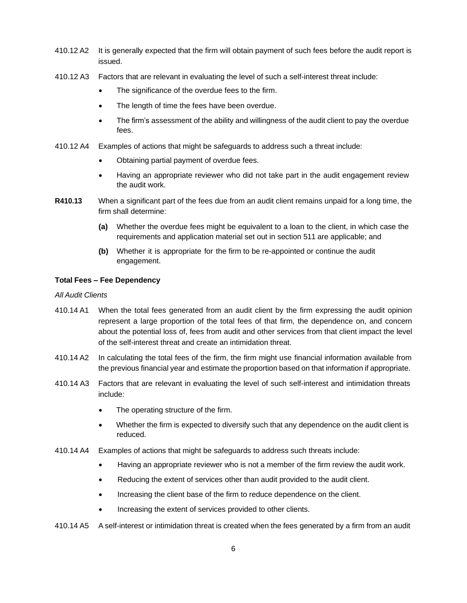- 410.12 A2 It is generally expected that the firm will obtain payment of such fees before the audit report is issued.
- 410.12 A3 Factors that are relevant in evaluating the level of such a self-interest threat include:
	- The significance of the overdue fees to the firm.
	- The length of time the fees have been overdue.
	- The firm's assessment of the ability and willingness of the audit client to pay the overdue fees.
- 410.12 A4 Examples of actions that might be safeguards to address such a threat include:
	- Obtaining partial payment of overdue fees.
	- Having an appropriate reviewer who did not take part in the audit engagement review the audit work.
- **R410.13** When a significant part of the fees due from an audit client remains unpaid for a long time, the firm shall determine:
	- **(a)** Whether the overdue fees might be equivalent to a loan to the client, in which case the requirements and application material set out in section 511 are applicable; and
	- **(b)** Whether it is appropriate for the firm to be re-appointed or continue the audit engagement.

#### **Total Fees – Fee Dependency**

#### *All Audit Clients*

- 410.14 A1 When the total fees generated from an audit client by the firm expressing the audit opinion represent a large proportion of the total fees of that firm, the dependence on, and concern about the potential loss of, fees from audit and other services from that client impact the level of the self-interest threat and create an intimidation threat.
- 410.14 A2 In calculating the total fees of the firm, the firm might use financial information available from the previous financial year and estimate the proportion based on that information if appropriate.
- 410.14 A3 Factors that are relevant in evaluating the level of such self-interest and intimidation threats include:
	- The operating structure of the firm.
	- Whether the firm is expected to diversify such that any dependence on the audit client is reduced.
- 410.14 A4 Examples of actions that might be safeguards to address such threats include:
	- Having an appropriate reviewer who is not a member of the firm review the audit work.
	- Reducing the extent of services other than audit provided to the audit client.
	- Increasing the client base of the firm to reduce dependence on the client.
	- Increasing the extent of services provided to other clients.
- 410.14 A5 A self-interest or intimidation threat is created when the fees generated by a firm from an audit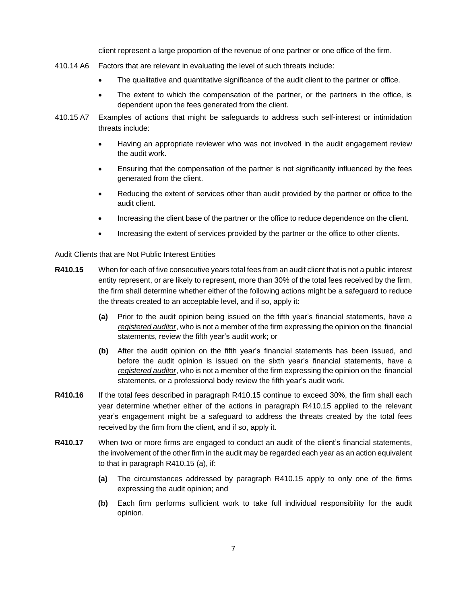client represent a large proportion of the revenue of one partner or one office of the firm.

- 410.14 A6 Factors that are relevant in evaluating the level of such threats include:
	- The qualitative and quantitative significance of the audit client to the partner or office.
	- The extent to which the compensation of the partner, or the partners in the office, is dependent upon the fees generated from the client.
- 410.15 A7 Examples of actions that might be safeguards to address such self-interest or intimidation threats include:
	- Having an appropriate reviewer who was not involved in the audit engagement review the audit work.
	- Ensuring that the compensation of the partner is not significantly influenced by the fees generated from the client.
	- Reducing the extent of services other than audit provided by the partner or office to the audit client.
	- Increasing the client base of the partner or the office to reduce dependence on the client.
	- Increasing the extent of services provided by the partner or the office to other clients.

Audit Clients that are Not Public Interest Entities

- **R410.15** When for each of five consecutive years total fees from an audit client that is not a public interest entity represent, or are likely to represent, more than 30% of the total fees received by the firm, the firm shall determine whether either of the following actions might be a safeguard to reduce the threats created to an acceptable level, and if so, apply it:
	- **(a)** Prior to the audit opinion being issued on the fifth year's financial statements, have a *registered auditor*, who is not a member of the firm expressing the opinion on the financial statements, review the fifth year's audit work; or
	- **(b)** After the audit opinion on the fifth year's financial statements has been issued, and before the audit opinion is issued on the sixth year's financial statements, have a *registered auditor*, who is not a member of the firm expressing the opinion on the financial statements, or a professional body review the fifth year's audit work.
- **R410.16** If the total fees described in paragraph R410.15 continue to exceed 30%, the firm shall each year determine whether either of the actions in paragraph R410.15 applied to the relevant year's engagement might be a safeguard to address the threats created by the total fees received by the firm from the client, and if so, apply it.
- **R410.17** When two or more firms are engaged to conduct an audit of the client's financial statements, the involvement of the other firm in the audit may be regarded each year as an action equivalent to that in paragraph R410.15 (a), if:
	- **(a)** The circumstances addressed by paragraph R410.15 apply to only one of the firms expressing the audit opinion; and
	- **(b)** Each firm performs sufficient work to take full individual responsibility for the audit opinion.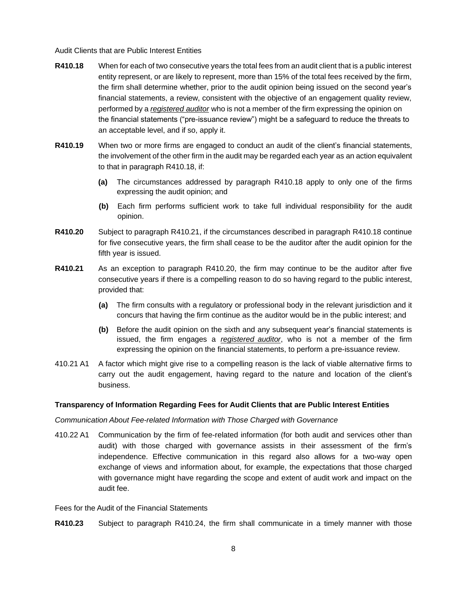#### Audit Clients that are Public Interest Entities

- **R410.18** When for each of two consecutive years the total fees from an audit client that is a public interest entity represent, or are likely to represent, more than 15% of the total fees received by the firm, the firm shall determine whether, prior to the audit opinion being issued on the second year's financial statements, a review, consistent with the objective of an engagement quality review, performed by a *registered auditor* who is not a member of the firm expressing the opinion on the financial statements ("pre-issuance review") might be a safeguard to reduce the threats to an acceptable level, and if so, apply it.
- **R410.19** When two or more firms are engaged to conduct an audit of the client's financial statements, the involvement of the other firm in the audit may be regarded each year as an action equivalent to that in paragraph R410.18, if:
	- **(a)** The circumstances addressed by paragraph R410.18 apply to only one of the firms expressing the audit opinion; and
	- **(b)** Each firm performs sufficient work to take full individual responsibility for the audit opinion.
- **R410.20** Subject to paragraph R410.21, if the circumstances described in paragraph R410.18 continue for five consecutive years, the firm shall cease to be the auditor after the audit opinion for the fifth year is issued.
- **R410.21** As an exception to paragraph R410.20, the firm may continue to be the auditor after five consecutive years if there is a compelling reason to do so having regard to the public interest, provided that:
	- **(a)** The firm consults with a regulatory or professional body in the relevant jurisdiction and it concurs that having the firm continue as the auditor would be in the public interest; and
	- **(b)** Before the audit opinion on the sixth and any subsequent year's financial statements is issued, the firm engages a *registered auditor*, who is not a member of the firm expressing the opinion on the financial statements, to perform a pre-issuance review.
- 410.21 A1 A factor which might give rise to a compelling reason is the lack of viable alternative firms to carry out the audit engagement, having regard to the nature and location of the client's business.

#### **Transparency of Information Regarding Fees for Audit Clients that are Public Interest Entities**

#### *Communication About Fee-related Information with Those Charged with Governance*

410.22 A1 Communication by the firm of fee-related information (for both audit and services other than audit) with those charged with governance assists in their assessment of the firm's independence. Effective communication in this regard also allows for a two-way open exchange of views and information about, for example, the expectations that those charged with governance might have regarding the scope and extent of audit work and impact on the audit fee.

Fees for the Audit of the Financial Statements

**R410.23** Subject to paragraph R410.24, the firm shall communicate in a timely manner with those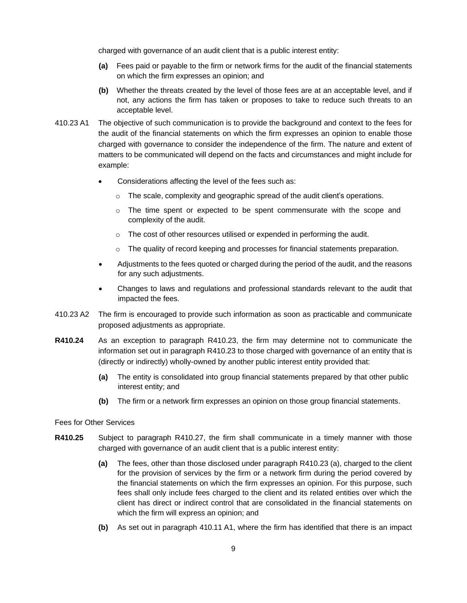charged with governance of an audit client that is a public interest entity:

- **(a)** Fees paid or payable to the firm or network firms for the audit of the financial statements on which the firm expresses an opinion; and
- **(b)** Whether the threats created by the level of those fees are at an acceptable level, and if not, any actions the firm has taken or proposes to take to reduce such threats to an acceptable level.
- 410.23 A1 The objective of such communication is to provide the background and context to the fees for the audit of the financial statements on which the firm expresses an opinion to enable those charged with governance to consider the independence of the firm. The nature and extent of matters to be communicated will depend on the facts and circumstances and might include for example:
	- Considerations affecting the level of the fees such as:
		- $\circ$  The scale, complexity and geographic spread of the audit client's operations.
		- $\circ$  The time spent or expected to be spent commensurate with the scope and complexity of the audit.
		- o The cost of other resources utilised or expended in performing the audit.
		- $\circ$  The quality of record keeping and processes for financial statements preparation.
	- Adjustments to the fees quoted or charged during the period of the audit, and the reasons for any such adjustments.
	- Changes to laws and regulations and professional standards relevant to the audit that impacted the fees.
- 410.23 A2 The firm is encouraged to provide such information as soon as practicable and communicate proposed adjustments as appropriate.
- **R410.24** As an exception to paragraph R410.23, the firm may determine not to communicate the information set out in paragraph R410.23 to those charged with governance of an entity that is (directly or indirectly) wholly-owned by another public interest entity provided that:
	- **(a)** The entity is consolidated into group financial statements prepared by that other public interest entity; and
	- **(b)** The firm or a network firm expresses an opinion on those group financial statements.

#### Fees for Other Services

- **R410.25** Subject to paragraph R410.27, the firm shall communicate in a timely manner with those charged with governance of an audit client that is a public interest entity:
	- **(a)** The fees, other than those disclosed under paragraph R410.23 (a), charged to the client for the provision of services by the firm or a network firm during the period covered by the financial statements on which the firm expresses an opinion. For this purpose, such fees shall only include fees charged to the client and its related entities over which the client has direct or indirect control that are consolidated in the financial statements on which the firm will express an opinion; and
	- **(b)** As set out in paragraph 410.11 A1, where the firm has identified that there is an impact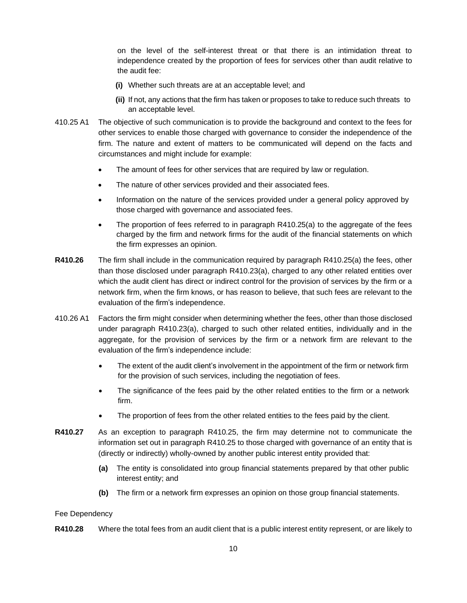on the level of the self-interest threat or that there is an intimidation threat to independence created by the proportion of fees for services other than audit relative to the audit fee:

- **(i)** Whether such threats are at an acceptable level; and
- **(ii)** If not, any actions that the firm has taken or proposes to take to reduce such threats to an acceptable level.
- 410.25 A1 The objective of such communication is to provide the background and context to the fees for other services to enable those charged with governance to consider the independence of the firm. The nature and extent of matters to be communicated will depend on the facts and circumstances and might include for example:
	- The amount of fees for other services that are required by law or regulation.
	- The nature of other services provided and their associated fees.
	- Information on the nature of the services provided under a general policy approved by those charged with governance and associated fees.
	- The proportion of fees referred to in paragraph R410.25(a) to the aggregate of the fees charged by the firm and network firms for the audit of the financial statements on which the firm expresses an opinion.
- **R410.26** The firm shall include in the communication required by paragraph R410.25(a) the fees, other than those disclosed under paragraph R410.23(a), charged to any other related entities over which the audit client has direct or indirect control for the provision of services by the firm or a network firm, when the firm knows, or has reason to believe, that such fees are relevant to the evaluation of the firm's independence.
- 410.26 A1 Factors the firm might consider when determining whether the fees, other than those disclosed under paragraph R410.23(a), charged to such other related entities, individually and in the aggregate, for the provision of services by the firm or a network firm are relevant to the evaluation of the firm's independence include:
	- The extent of the audit client's involvement in the appointment of the firm or network firm for the provision of such services, including the negotiation of fees.
	- The significance of the fees paid by the other related entities to the firm or a network firm.
	- The proportion of fees from the other related entities to the fees paid by the client.
- **R410.27** As an exception to paragraph R410.25, the firm may determine not to communicate the information set out in paragraph R410.25 to those charged with governance of an entity that is (directly or indirectly) wholly-owned by another public interest entity provided that:
	- **(a)** The entity is consolidated into group financial statements prepared by that other public interest entity; and
	- **(b)** The firm or a network firm expresses an opinion on those group financial statements.

#### Fee Dependency

**R410.28** Where the total fees from an audit client that is a public interest entity represent, or are likely to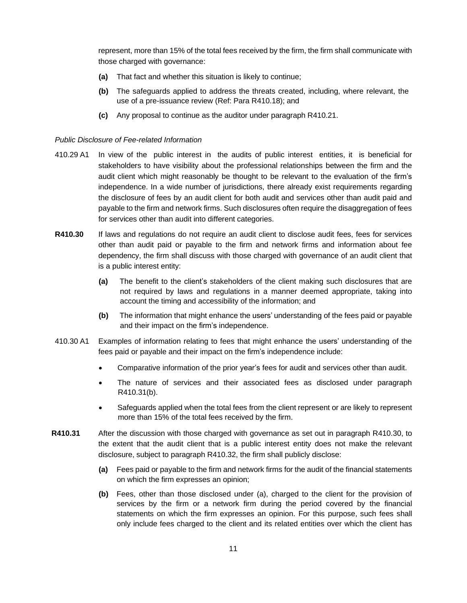represent, more than 15% of the total fees received by the firm, the firm shall communicate with those charged with governance:

- **(a)** That fact and whether this situation is likely to continue;
- **(b)** The safeguards applied to address the threats created, including, where relevant, the use of a pre-issuance review (Ref: Para R410.18); and
- **(c)** Any proposal to continue as the auditor under paragraph R410.21.

#### *Public Disclosure of Fee-related Information*

- 410.29 A1 In view of the public interest in the audits of public interest entities, it is beneficial for stakeholders to have visibility about the professional relationships between the firm and the audit client which might reasonably be thought to be relevant to the evaluation of the firm's independence. In a wide number of jurisdictions, there already exist requirements regarding the disclosure of fees by an audit client for both audit and services other than audit paid and payable to the firm and network firms. Such disclosures often require the disaggregation of fees for services other than audit into different categories.
- **R410.30** If laws and regulations do not require an audit client to disclose audit fees, fees for services other than audit paid or payable to the firm and network firms and information about fee dependency, the firm shall discuss with those charged with governance of an audit client that is a public interest entity:
	- **(a)** The benefit to the client's stakeholders of the client making such disclosures that are not required by laws and regulations in a manner deemed appropriate, taking into account the timing and accessibility of the information; and
	- **(b)** The information that might enhance the users' understanding of the fees paid or payable and their impact on the firm's independence.
- 410.30 A1 Examples of information relating to fees that might enhance the users' understanding of the fees paid or payable and their impact on the firm's independence include:
	- Comparative information of the prior year's fees for audit and services other than audit.
	- The nature of services and their associated fees as disclosed under paragraph R410.31(b).
	- Safeguards applied when the total fees from the client represent or are likely to represent more than 15% of the total fees received by the firm.
- **R410.31** After the discussion with those charged with governance as set out in paragraph R410.30, to the extent that the audit client that is a public interest entity does not make the relevant disclosure, subject to paragraph R410.32, the firm shall publicly disclose:
	- **(a)** Fees paid or payable to the firm and network firms for the audit of the financial statements on which the firm expresses an opinion;
	- **(b)** Fees, other than those disclosed under (a), charged to the client for the provision of services by the firm or a network firm during the period covered by the financial statements on which the firm expresses an opinion. For this purpose, such fees shall only include fees charged to the client and its related entities over which the client has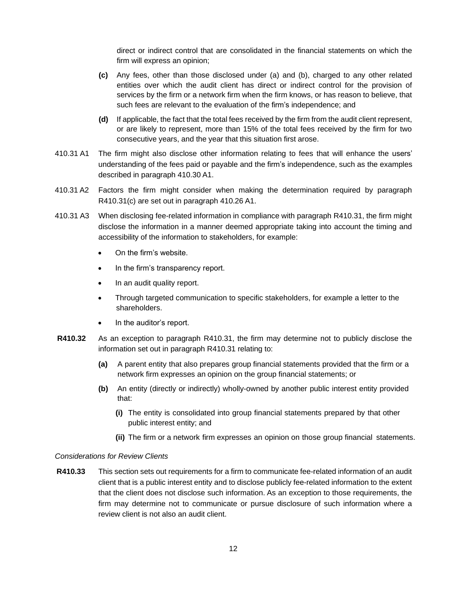direct or indirect control that are consolidated in the financial statements on which the firm will express an opinion;

- **(c)** Any fees, other than those disclosed under (a) and (b), charged to any other related entities over which the audit client has direct or indirect control for the provision of services by the firm or a network firm when the firm knows, or has reason to believe, that such fees are relevant to the evaluation of the firm's independence; and
- **(d)** If applicable, the fact that the total fees received by the firm from the audit client represent, or are likely to represent, more than 15% of the total fees received by the firm for two consecutive years, and the year that this situation first arose.
- 410.31 A1 The firm might also disclose other information relating to fees that will enhance the users' understanding of the fees paid or payable and the firm's independence, such as the examples described in paragraph 410.30 A1.
- 410.31 A2 Factors the firm might consider when making the determination required by paragraph R410.31(c) are set out in paragraph 410.26 A1.
- 410.31 A3 When disclosing fee-related information in compliance with paragraph R410.31, the firm might disclose the information in a manner deemed appropriate taking into account the timing and accessibility of the information to stakeholders, for example:
	- On the firm's website.
	- In the firm's transparency report.
	- In an audit quality report.
	- Through targeted communication to specific stakeholders, for example a letter to the shareholders.
	- In the auditor's report.
- **R410.32** As an exception to paragraph R410.31, the firm may determine not to publicly disclose the information set out in paragraph R410.31 relating to:
	- **(a)** A parent entity that also prepares group financial statements provided that the firm or a network firm expresses an opinion on the group financial statements; or
	- **(b)** An entity (directly or indirectly) wholly-owned by another public interest entity provided that:
		- **(i)** The entity is consolidated into group financial statements prepared by that other public interest entity; and
		- **(ii)** The firm or a network firm expresses an opinion on those group financial statements.

#### *Considerations for Review Clients*

**R410.33** This section sets out requirements for a firm to communicate fee-related information of an audit client that is a public interest entity and to disclose publicly fee-related information to the extent that the client does not disclose such information. As an exception to those requirements, the firm may determine not to communicate or pursue disclosure of such information where a review client is not also an audit client.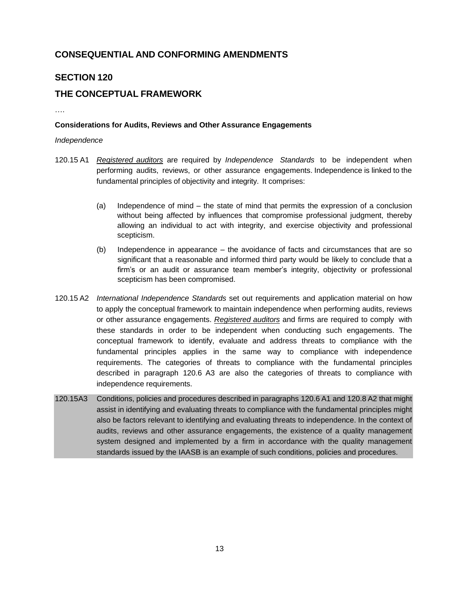## <span id="page-12-0"></span>**CONSEQUENTIAL AND CONFORMING AMENDMENTS**

## **SECTION 120**

## **THE CONCEPTUAL FRAMEWORK**

#### **Considerations for Audits, Reviews and Other Assurance Engagements**

#### *Independence*

….

- 120.15 A1 *Registered auditors* are required by *Independence Standards* to be independent when performing audits, reviews, or other assurance engagements. Independence is linked to the fundamental principles of objectivity and integrity. It comprises:
	- (a) Independence of mind the state of mind that permits the expression of a conclusion without being affected by influences that compromise professional judgment, thereby allowing an individual to act with integrity, and exercise objectivity and professional scepticism.
	- (b) Independence in appearance the avoidance of facts and circumstances that are so significant that a reasonable and informed third party would be likely to conclude that a firm's or an audit or assurance team member's integrity, objectivity or professional scepticism has been compromised.
- 120.15 A2 *International Independence Standards* set out requirements and application material on how to apply the conceptual framework to maintain independence when performing audits, reviews or other assurance engagements. *Registered auditors* and firms are required to comply with these standards in order to be independent when conducting such engagements. The conceptual framework to identify, evaluate and address threats to compliance with the fundamental principles applies in the same way to compliance with independence requirements. The categories of threats to compliance with the fundamental principles described in paragraph 120.6 A3 are also the categories of threats to compliance with independence requirements.
- 120.15A3 Conditions, policies and procedures described in paragraphs 120.6 A1 and 120.8 A2 that might assist in identifying and evaluating threats to compliance with the fundamental principles might also be factors relevant to identifying and evaluating threats to independence. In the context of audits, reviews and other assurance engagements, the existence of a quality management system designed and implemented by a firm in accordance with the quality management standards issued by the IAASB is an example of such conditions, policies and procedures.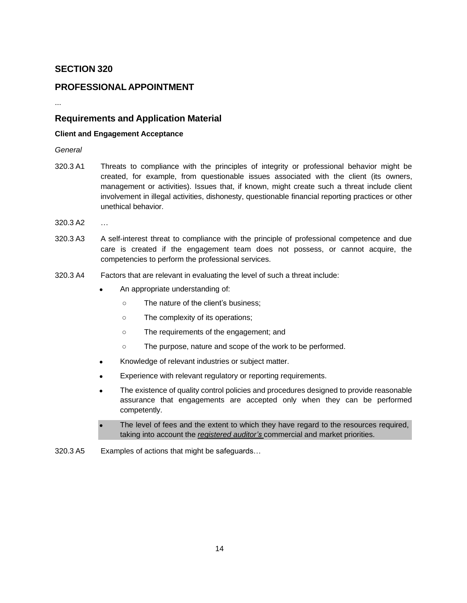### **SECTION 320**

### **PROFESSIONAL APPOINTMENT**

...

### **Requirements and Application Material**

#### **Client and Engagement Acceptance**

*General*

- 320.3 A1 Threats to compliance with the principles of integrity or professional behavior might be created, for example, from questionable issues associated with the client (its owners, management or activities). Issues that, if known, might create such a threat include client involvement in illegal activities, dishonesty, questionable financial reporting practices or other unethical behavior.
- 320.3 A2 …
- 320.3 A3 A self-interest threat to compliance with the principle of professional competence and due care is created if the engagement team does not possess, or cannot acquire, the competencies to perform the professional services.
- 320.3 A4 Factors that are relevant in evaluating the level of such a threat include:
	- An appropriate understanding of:
		- The nature of the client's business;
		- The complexity of its operations;
		- The requirements of the engagement; and
		- The purpose, nature and scope of the work to be performed.
	- Knowledge of relevant industries or subject matter.
	- Experience with relevant regulatory or reporting requirements.
	- The existence of quality control policies and procedures designed to provide reasonable assurance that engagements are accepted only when they can be performed competently.
	- The level of fees and the extent to which they have regard to the resources required, taking into account the *registered auditor's* commercial and market priorities.
- 320.3 A5 Examples of actions that might be safeguards…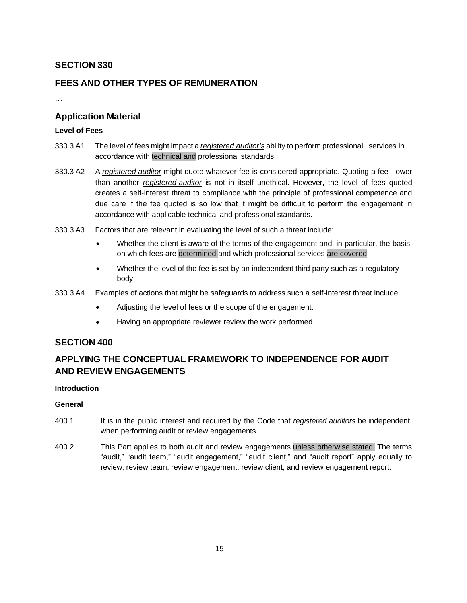## **SECTION 330**

## **FEES AND OTHER TYPES OF REMUNERATION**

…

### **Application Material**

### **Level of Fees**

- 330.3 A1 The level of fees might impact a *registered auditor's* ability to perform professional services in accordance with technical and professional standards.
- 330.3 A2 A *registered auditor* might quote whatever fee is considered appropriate. Quoting a fee lower than another *registered auditor* is not in itself unethical. However, the level of fees quoted creates a self-interest threat to compliance with the principle of professional competence and due care if the fee quoted is so low that it might be difficult to perform the engagement in accordance with applicable technical and professional standards.
- 330.3 A3 Factors that are relevant in evaluating the level of such a threat include:
	- Whether the client is aware of the terms of the engagement and, in particular, the basis on which fees are determined and which professional services are covered.
	- Whether the level of the fee is set by an independent third party such as a regulatory body.
- 330.3 A4 Examples of actions that might be safeguards to address such a self-interest threat include:
	- Adjusting the level of fees or the scope of the engagement.
	- Having an appropriate reviewer review the work performed.

### **SECTION 400**

## **APPLYING THE CONCEPTUAL FRAMEWORK TO INDEPENDENCE FOR AUDIT AND REVIEW ENGAGEMENTS**

#### **Introduction**

#### **General**

- 400.1 It is in the public interest and required by the Code that *registered auditors* be independent when performing audit or review engagements.
- 400.2 This Part applies to both audit and review engagements unless otherwise stated. The terms "audit," "audit team," "audit engagement," "audit client," and "audit report" apply equally to review, review team, review engagement, review client, and review engagement report.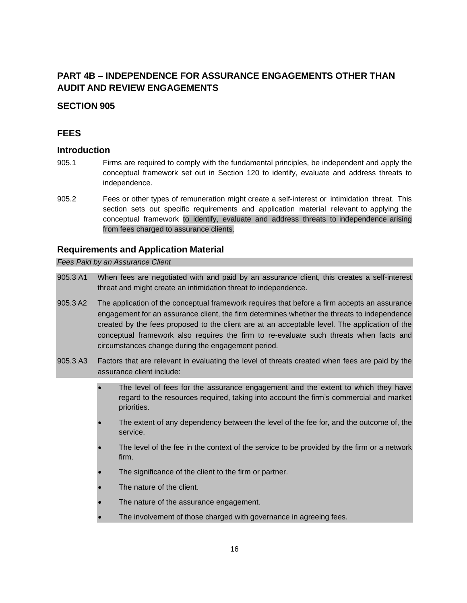## **PART 4B – INDEPENDENCE FOR ASSURANCE ENGAGEMENTS OTHER THAN AUDIT AND REVIEW ENGAGEMENTS**

### <span id="page-15-0"></span>**SECTION 905**

### **FEES**

### **Introduction**

- 905.1 Firms are required to comply with the fundamental principles, be independent and apply the conceptual framework set out in Section 120 to identify, evaluate and address threats to independence.
- 905.2 Fees or other types of remuneration might create a self-interest or intimidation threat. This section sets out specific requirements and application material relevant to applying the conceptual framework to identify, evaluate and address threats to independence arising from fees charged to assurance clients.

### **Requirements and Application Material**

*Fees Paid by an Assurance Client*

- 905.3 A1 When fees are negotiated with and paid by an assurance client, this creates a self-interest threat and might create an intimidation threat to independence.
- 905.3 A2 The application of the conceptual framework requires that before a firm accepts an assurance engagement for an assurance client, the firm determines whether the threats to independence created by the fees proposed to the client are at an acceptable level. The application of the conceptual framework also requires the firm to re-evaluate such threats when facts and circumstances change during the engagement period.
- 905.3 A3 Factors that are relevant in evaluating the level of threats created when fees are paid by the assurance client include:
	- The level of fees for the assurance engagement and the extent to which they have regard to the resources required, taking into account the firm's commercial and market priorities.
	- The extent of any dependency between the level of the fee for, and the outcome of, the service.
	- The level of the fee in the context of the service to be provided by the firm or a network firm.
	- The significance of the client to the firm or partner.
	- The nature of the client.
	- The nature of the assurance engagement.
	- The involvement of those charged with governance in agreeing fees.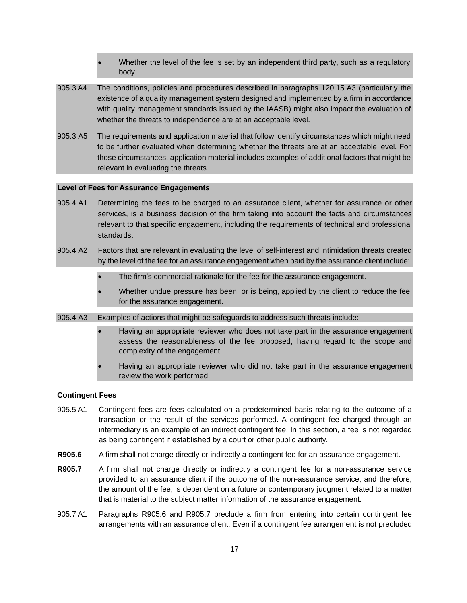- Whether the level of the fee is set by an independent third party, such as a regulatory body.
- 905.3 A4 The conditions, policies and procedures described in paragraphs 120.15 A3 (particularly the existence of a quality management system designed and implemented by a firm in accordance with quality management standards issued by the IAASB) might also impact the evaluation of whether the threats to independence are at an acceptable level.
- 905.3 A5 The requirements and application material that follow identify circumstances which might need to be further evaluated when determining whether the threats are at an acceptable level. For those circumstances, application material includes examples of additional factors that might be relevant in evaluating the threats.

#### **Level of Fees for Assurance Engagements**

- 905.4 A1 Determining the fees to be charged to an assurance client, whether for assurance or other services, is a business decision of the firm taking into account the facts and circumstances relevant to that specific engagement, including the requirements of technical and professional standards.
- 905.4 A2 Factors that are relevant in evaluating the level of self-interest and intimidation threats created by the level of the fee for an assurance engagement when paid by the assurance client include:
	- The firm's commercial rationale for the fee for the assurance engagement.
	- Whether undue pressure has been, or is being, applied by the client to reduce the fee for the assurance engagement.
- 905.4 A3 Examples of actions that might be safeguards to address such threats include:
	- Having an appropriate reviewer who does not take part in the assurance engagement assess the reasonableness of the fee proposed, having regard to the scope and complexity of the engagement.
	- Having an appropriate reviewer who did not take part in the assurance engagement review the work performed.

#### **Contingent Fees**

- 905.5 A1 Contingent fees are fees calculated on a predetermined basis relating to the outcome of a transaction or the result of the services performed. A contingent fee charged through an intermediary is an example of an indirect contingent fee. In this section, a fee is not regarded as being contingent if established by a court or other public authority.
- **R905.6** A firm shall not charge directly or indirectly a contingent fee for an assurance engagement.
- **R905.7** A firm shall not charge directly or indirectly a contingent fee for a non-assurance service provided to an assurance client if the outcome of the non-assurance service, and therefore, the amount of the fee, is dependent on a future or contemporary judgment related to a matter that is material to the subject matter information of the assurance engagement.
- 905.7 A1 Paragraphs R905.6 and R905.7 preclude a firm from entering into certain contingent fee arrangements with an assurance client. Even if a contingent fee arrangement is not precluded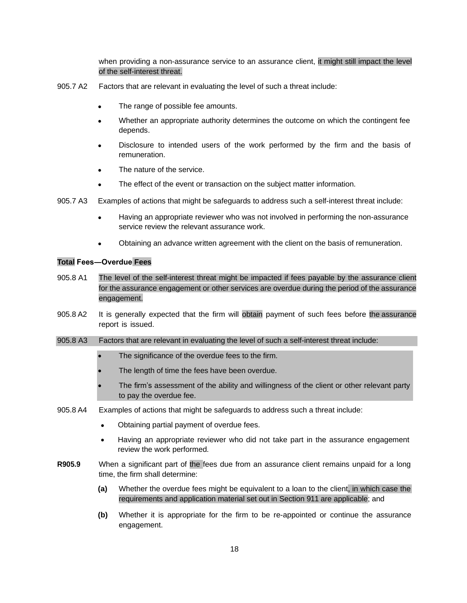when providing a non-assurance service to an assurance client, it might still impact the level of the self-interest threat.

- 905.7 A2 Factors that are relevant in evaluating the level of such a threat include:
	- The range of possible fee amounts.
	- Whether an appropriate authority determines the outcome on which the contingent fee depends.
	- Disclosure to intended users of the work performed by the firm and the basis of remuneration.
	- The nature of the service.
	- The effect of the event or transaction on the subject matter information.
- 905.7 A3 Examples of actions that might be safeguards to address such a self-interest threat include:
	- Having an appropriate reviewer who was not involved in performing the non-assurance service review the relevant assurance work.
	- Obtaining an advance written agreement with the client on the basis of remuneration.

#### **Total Fees―Overdue Fees**

- 905.8 A1 The level of the self-interest threat might be impacted if fees payable by the assurance client for the assurance engagement or other services are overdue during the period of the assurance engagement.
- 905.8 A2 It is generally expected that the firm will obtain payment of such fees before the assurance report is issued.
- 905.8 A3 Factors that are relevant in evaluating the level of such a self-interest threat include:
	- The significance of the overdue fees to the firm.
	- The length of time the fees have been overdue.
	- The firm's assessment of the ability and willingness of the client or other relevant party to pay the overdue fee.
- 905.8 A4 Examples of actions that might be safeguards to address such a threat include:
	- Obtaining partial payment of overdue fees.
	- Having an appropriate reviewer who did not take part in the assurance engagement review the work performed.
- **R905.9** When a significant part of the fees due from an assurance client remains unpaid for a long time, the firm shall determine:
	- **(a)** Whether the overdue fees might be equivalent to a loan to the client, in which case the requirements and application material set out in Section 911 are applicable; and
	- **(b)** Whether it is appropriate for the firm to be re-appointed or continue the assurance engagement.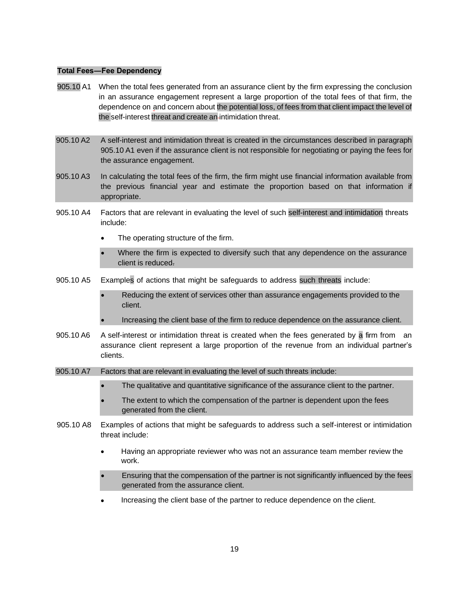#### **Total Fees―Fee Dependency**

- 905.10 A1 When the total fees generated from an assurance client by the firm expressing the conclusion in an assurance engagement represent a large proportion of the total fees of that firm, the dependence on and concern about the potential loss, of fees from that client impact the level of the self-interest threat and create an intimidation threat.
- 905.10 A2 A self-interest and intimidation threat is created in the circumstances described in paragraph 905.10 A1 even if the assurance client is not responsible for negotiating or paying the fees for the assurance engagement.
- 905.10 A3 In calculating the total fees of the firm, the firm might use financial information available from the previous financial year and estimate the proportion based on that information if appropriate.
- 905.10 A4 Factors that are relevant in evaluating the level of such self-interest and intimidation threats include:
	- The operating structure of the firm.
	- Where the firm is expected to diversify such that any dependence on the assurance client is reduced.
- 905.10 A5 Examples of actions that might be safeguards to address such threats include:
	- Reducing the extent of services other than assurance engagements provided to the client.
	- Increasing the client base of the firm to reduce dependence on the assurance client.
- 905.10 A6 A self-interest or intimidation threat is created when the fees generated by a firm from an assurance client represent a large proportion of the revenue from an individual partner's clients.
- 905.10 A7 Factors that are relevant in evaluating the level of such threats include:
	- The qualitative and quantitative significance of the assurance client to the partner.
	- The extent to which the compensation of the partner is dependent upon the fees generated from the client.
- 905.10 A8 Examples of actions that might be safeguards to address such a self-interest or intimidation threat include:
	- Having an appropriate reviewer who was not an assurance team member review the work.
	- Ensuring that the compensation of the partner is not significantly influenced by the fees generated from the assurance client.
	- Increasing the client base of the partner to reduce dependence on the client.